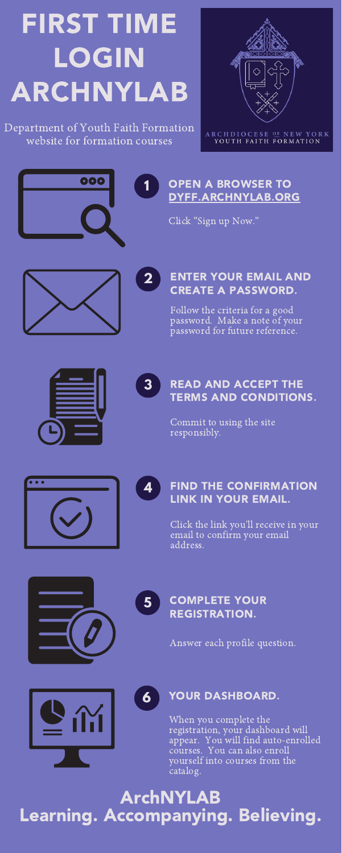# OPEN A BROWSER TO [DYFF.ARCHNYLAB.ORG](https://dyff.archnylab.org)

Click "Sign up Now."



**1**

### ENTER YOUR EMAIL AND CREATE A PASSWORD.



Follow the criteria for a good password. Make a note of your password for future reference.



# READ AND ACCEPT THE TERMS AND CONDITIONS.

**3**

Commit to using the site responsibly.



FIND THE CONFIRMATION LINK IN YOUR EMAIL.



Click the link you'll receive in your email to confirm your email address.

## COMPLETE YOUR REGISTRATION.

**5**

Answer each profile question.





## **6** YOUR DASHBOARD.

When you complete the registration, your dashboard will appear. You will find auto-enrolled courses. You can also enroll yourself into courses from the catalog.

# FIRST TIME LOGIN ARCHNYLAB

Department of Youth Faith Formation website for formation courses



ARCHDIOCESE OF NEW YORK YOUTH FAITH FORMATION



ArchNYLAB Learning. Accompanying. Believing.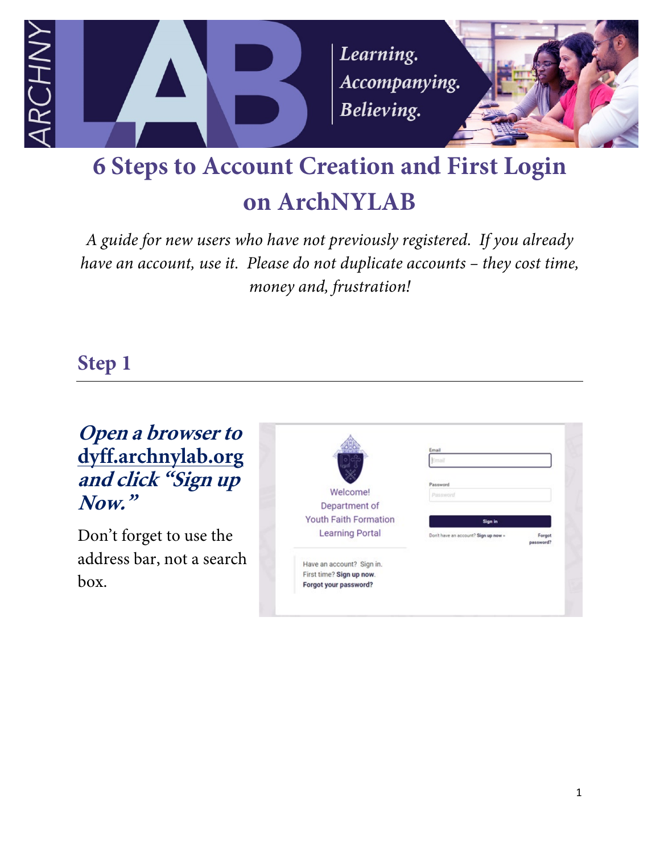

# **6 Steps to Account Creation and First Login on ArchNYLAB**

*A guide for new users who have not previously registered. If you already have an account, use it. Please do not duplicate accounts – they cost time, money and, frustration!*

#### **Step 1**

**Open a browser to dyff.archnylab.org and click "Sign up Now."**

Don't forget to use the address bar, not a search box.

|                              | Email                                |                     |
|------------------------------|--------------------------------------|---------------------|
|                              |                                      |                     |
|                              | Password                             |                     |
| Welcome!                     | Password                             |                     |
| Department of                |                                      |                     |
| <b>Youth Faith Formation</b> | Sign in                              |                     |
| <b>Learning Portal</b>       | Don't have an account? Sign up now = | Forgot<br>password? |
| Have an account? Sign in.    |                                      |                     |
| First time? Sign up now.     |                                      |                     |
| Forgot your password?        |                                      |                     |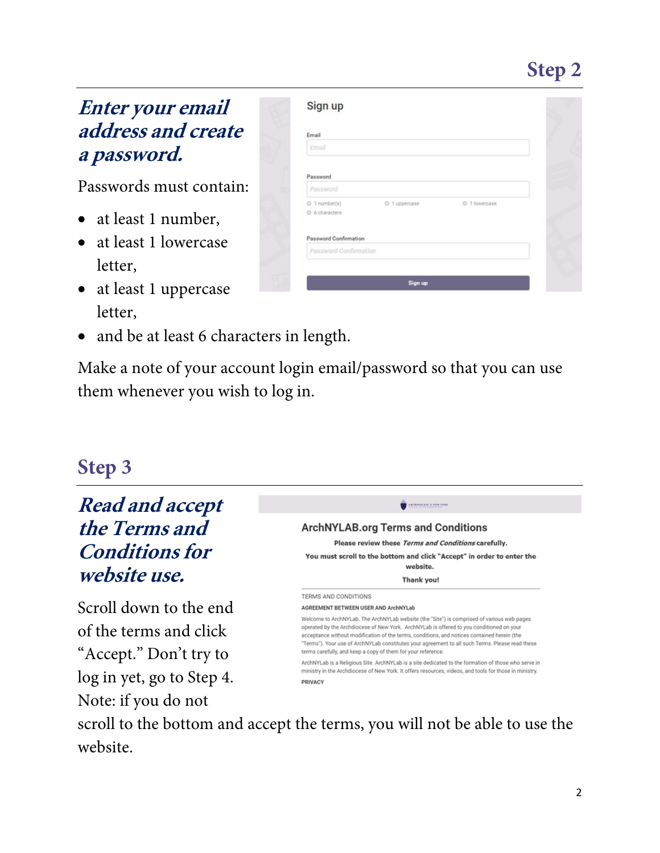# **Step 2**

#### **Enter your email address and create a password.**

Passwords must contain:

- at least 1 number,
- at least 1 lowercase letter,
- at least 1 uppercase letter,
- and be at least 6 characters in length.

Make a note of your account login email/password so that you can use them whenever you wish to log in.

#### **Step 3**

**Read and accept the Terms and Conditions for website use.**

Scroll down to the end of the terms and click "Accept." Don't try to log in yet, go to Step 4. Note: if you do not

| Email                 |               |               |  |
|-----------------------|---------------|---------------|--|
| Email.                |               |               |  |
|                       |               |               |  |
| Password              |               |               |  |
| Password              |               |               |  |
| O 1 number(s)         | O 1 uppercase | O 1 lowercase |  |
| O 6 characters        |               |               |  |
| Password Confirmation |               |               |  |
| Password Confirmation |               |               |  |



scroll to the bottom and accept the terms, you will not be able to use the website.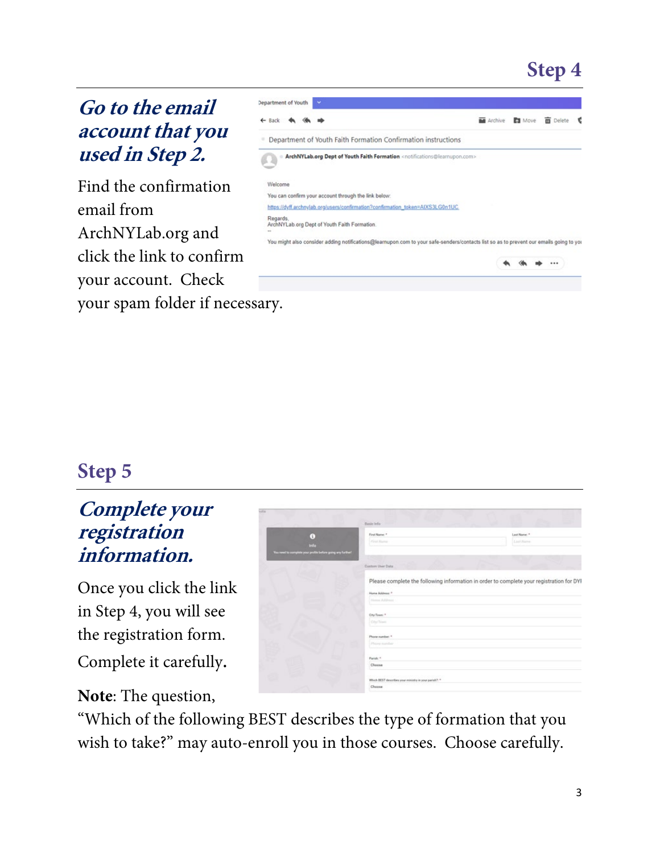# **Step 4**

#### **Go to the email account that you used in Step 2.**

Find the confirmation email from ArchNYLab.org and click the link to confirm your account. Check your spam folder if necessary.

|                                                                                                         | <b>m</b> Delete | €                                                                                                                                      |
|---------------------------------------------------------------------------------------------------------|-----------------|----------------------------------------------------------------------------------------------------------------------------------------|
|                                                                                                         |                 |                                                                                                                                        |
|                                                                                                         |                 |                                                                                                                                        |
|                                                                                                         |                 |                                                                                                                                        |
|                                                                                                         |                 |                                                                                                                                        |
|                                                                                                         |                 |                                                                                                                                        |
|                                                                                                         |                 |                                                                                                                                        |
|                                                                                                         |                 |                                                                                                                                        |
|                                                                                                         |                 |                                                                                                                                        |
| ArchNYLab.org Dept of Youth Faith Formation <notifications@learnupon.com></notifications@learnupon.com> |                 | You might also consider adding notifications@learnupon.com to your safe-senders/contacts list so as to prevent our emails going to you |

#### **Step 5**

#### **Complete your registration information.**

Once you click the link in Step 4, you will see the registration form. Complete it carefully.

#### **Note**: The question,

|                                                                                  | Basic Irdo                                            |                                                                                          |
|----------------------------------------------------------------------------------|-------------------------------------------------------|------------------------------------------------------------------------------------------|
| G)<br><b>Info</b><br>You need to complete your profile before going any further! | First Name: *<br><b>First Name</b>                    | Last Name: 1<br>Last Name                                                                |
|                                                                                  | <b>Custom User Data</b>                               |                                                                                          |
|                                                                                  |                                                       | Please complete the following information in order to complete your registration for DYI |
|                                                                                  | Home Address: *                                       |                                                                                          |
|                                                                                  | Home Address                                          |                                                                                          |
|                                                                                  | City/Town: *                                          |                                                                                          |
|                                                                                  | City/Sover                                            |                                                                                          |
|                                                                                  | Phone number: <sup>+</sup>                            |                                                                                          |
|                                                                                  | Philosophy Institution                                |                                                                                          |
|                                                                                  | Parish: <sup>4</sup>                                  |                                                                                          |
|                                                                                  | Choose                                                |                                                                                          |
|                                                                                  | Which BEST describes your ministry in your parish?. * |                                                                                          |
|                                                                                  | Choose                                                |                                                                                          |

"Which of the following BEST describes the type of formation that you wish to take?" may auto-enroll you in those courses. Choose carefully.